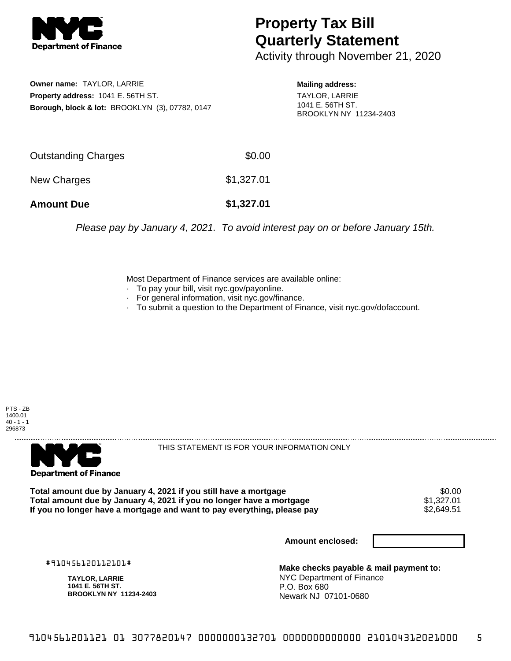

## **Property Tax Bill Quarterly Statement**

Activity through November 21, 2020

**Owner name:** TAYLOR, LARRIE **Property address:** 1041 E. 56TH ST. **Borough, block & lot:** BROOKLYN (3), 07782, 0147 **Mailing address:**

TAYLOR, LARRIE 1041 E. 56TH ST. BROOKLYN NY 11234-2403

| <b>Amount Due</b>   | \$1,327.01 |
|---------------------|------------|
| New Charges         | \$1,327.01 |
| Outstanding Charges | \$0.00     |

Please pay by January 4, 2021. To avoid interest pay on or before January 15th.

Most Department of Finance services are available online:

- · To pay your bill, visit nyc.gov/payonline.
- For general information, visit nyc.gov/finance.
- · To submit a question to the Department of Finance, visit nyc.gov/dofaccount.





THIS STATEMENT IS FOR YOUR INFORMATION ONLY

Total amount due by January 4, 2021 if you still have a mortgage \$0.00<br>Total amount due by January 4, 2021 if you no longer have a mortgage \$1.327.01 **Total amount due by January 4, 2021 if you no longer have a mortgage**  $$1,327.01$ **<br>If you no longer have a mortgage and want to pay everything, please pay**  $$2,649.51$ If you no longer have a mortgage and want to pay everything, please pay

**Amount enclosed:**

#910456120112101#

**TAYLOR, LARRIE 1041 E. 56TH ST. BROOKLYN NY 11234-2403**

**Make checks payable & mail payment to:** NYC Department of Finance P.O. Box 680 Newark NJ 07101-0680